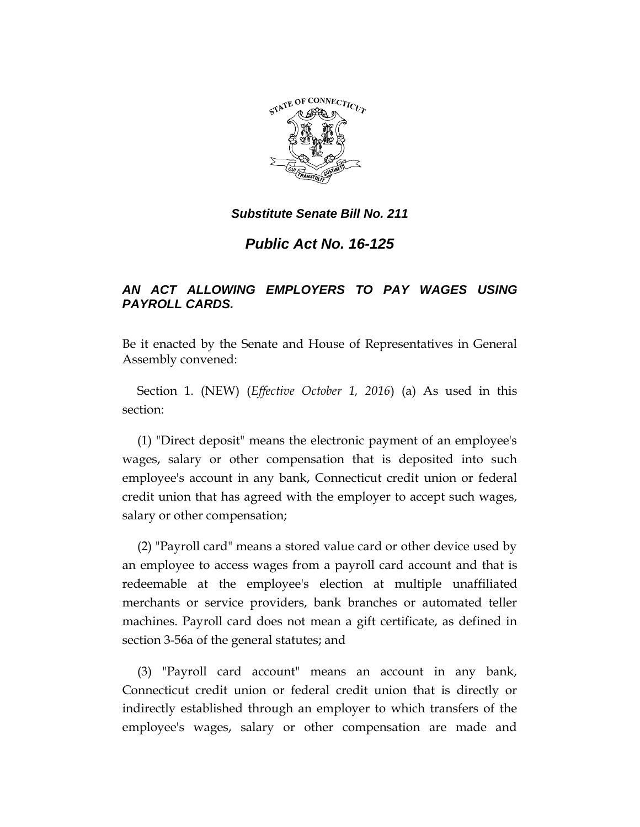

*Public Act No. 16-125*

# *AN ACT ALLOWING EMPLOYERS TO PAY WAGES USING PAYROLL CARDS.*

Be it enacted by the Senate and House of Representatives in General Assembly convened:

Section 1. (NEW) (*Effective October 1, 2016*) (a) As used in this section:

(1) "Direct deposit" means the electronic payment of an employee's wages, salary or other compensation that is deposited into such employee's account in any bank, Connecticut credit union or federal credit union that has agreed with the employer to accept such wages, salary or other compensation;

(2) "Payroll card" means a stored value card or other device used by an employee to access wages from a payroll card account and that is redeemable at the employee's election at multiple unaffiliated merchants or service providers, bank branches or automated teller machines. Payroll card does not mean a gift certificate, as defined in section 3-56a of the general statutes; and

(3) "Payroll card account" means an account in any bank, Connecticut credit union or federal credit union that is directly or indirectly established through an employer to which transfers of the employee's wages, salary or other compensation are made and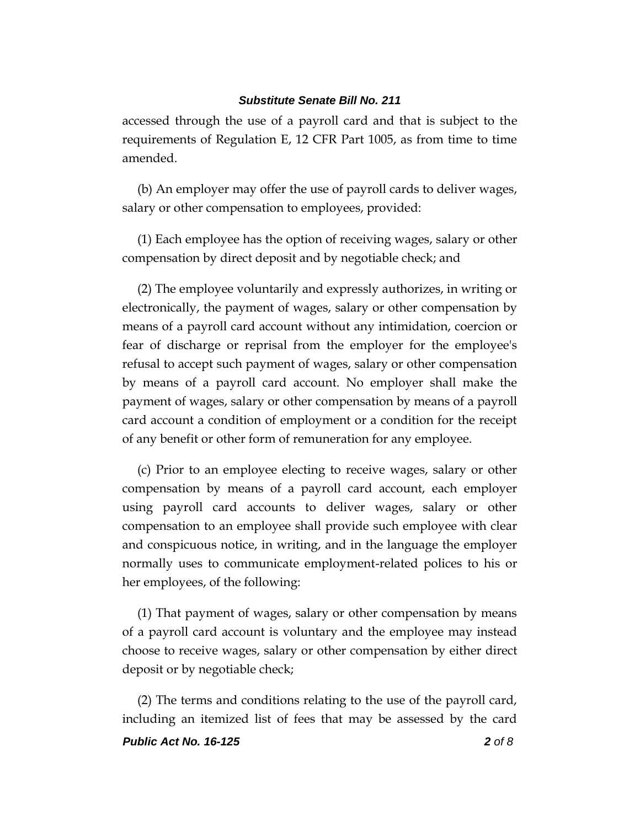accessed through the use of a payroll card and that is subject to the requirements of Regulation E, 12 CFR Part 1005, as from time to time amended.

(b) An employer may offer the use of payroll cards to deliver wages, salary or other compensation to employees, provided:

(1) Each employee has the option of receiving wages, salary or other compensation by direct deposit and by negotiable check; and

(2) The employee voluntarily and expressly authorizes, in writing or electronically, the payment of wages, salary or other compensation by means of a payroll card account without any intimidation, coercion or fear of discharge or reprisal from the employer for the employee's refusal to accept such payment of wages, salary or other compensation by means of a payroll card account. No employer shall make the payment of wages, salary or other compensation by means of a payroll card account a condition of employment or a condition for the receipt of any benefit or other form of remuneration for any employee.

(c) Prior to an employee electing to receive wages, salary or other compensation by means of a payroll card account, each employer using payroll card accounts to deliver wages, salary or other compensation to an employee shall provide such employee with clear and conspicuous notice, in writing, and in the language the employer normally uses to communicate employment-related polices to his or her employees, of the following:

(1) That payment of wages, salary or other compensation by means of a payroll card account is voluntary and the employee may instead choose to receive wages, salary or other compensation by either direct deposit or by negotiable check;

(2) The terms and conditions relating to the use of the payroll card, including an itemized list of fees that may be assessed by the card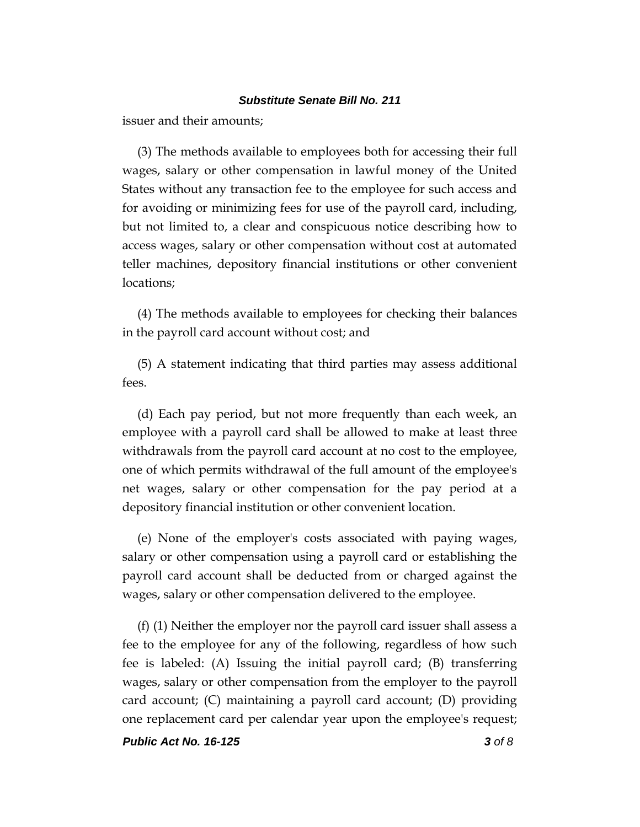issuer and their amounts;

(3) The methods available to employees both for accessing their full wages, salary or other compensation in lawful money of the United States without any transaction fee to the employee for such access and for avoiding or minimizing fees for use of the payroll card, including, but not limited to, a clear and conspicuous notice describing how to access wages, salary or other compensation without cost at automated teller machines, depository financial institutions or other convenient locations;

(4) The methods available to employees for checking their balances in the payroll card account without cost; and

(5) A statement indicating that third parties may assess additional fees.

(d) Each pay period, but not more frequently than each week, an employee with a payroll card shall be allowed to make at least three withdrawals from the payroll card account at no cost to the employee, one of which permits withdrawal of the full amount of the employee's net wages, salary or other compensation for the pay period at a depository financial institution or other convenient location.

(e) None of the employer's costs associated with paying wages, salary or other compensation using a payroll card or establishing the payroll card account shall be deducted from or charged against the wages, salary or other compensation delivered to the employee.

(f) (1) Neither the employer nor the payroll card issuer shall assess a fee to the employee for any of the following, regardless of how such fee is labeled: (A) Issuing the initial payroll card; (B) transferring wages, salary or other compensation from the employer to the payroll card account; (C) maintaining a payroll card account; (D) providing one replacement card per calendar year upon the employee's request;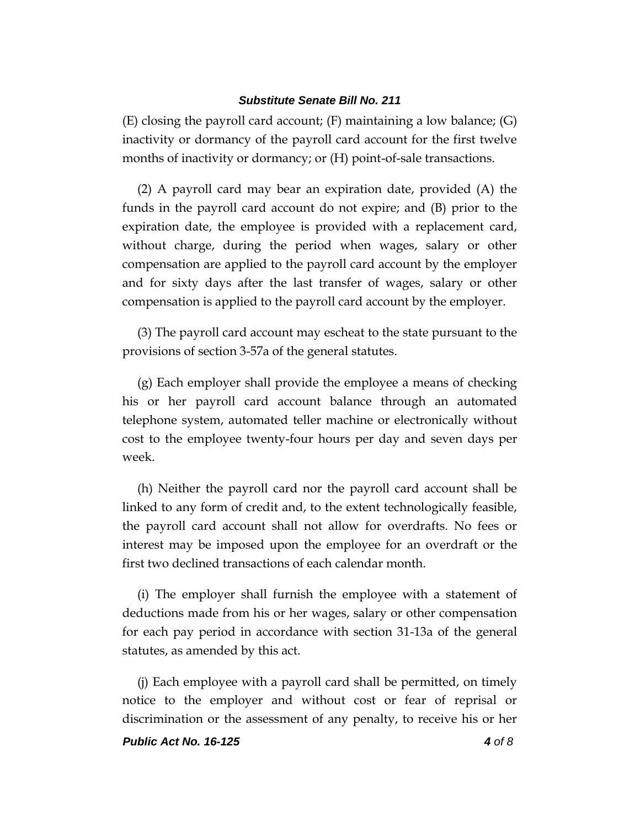(E) closing the payroll card account; (F) maintaining a low balance; (G) inactivity or dormancy of the payroll card account for the first twelve months of inactivity or dormancy; or (H) point-of-sale transactions.

(2) A payroll card may bear an expiration date, provided (A) the funds in the payroll card account do not expire; and (B) prior to the expiration date, the employee is provided with a replacement card, without charge, during the period when wages, salary or other compensation are applied to the payroll card account by the employer and for sixty days after the last transfer of wages, salary or other compensation is applied to the payroll card account by the employer.

(3) The payroll card account may escheat to the state pursuant to the provisions of section 3-57a of the general statutes.

(g) Each employer shall provide the employee a means of checking his or her payroll card account balance through an automated telephone system, automated teller machine or electronically without cost to the employee twenty-four hours per day and seven days per week.

(h) Neither the payroll card nor the payroll card account shall be linked to any form of credit and, to the extent technologically feasible, the payroll card account shall not allow for overdrafts. No fees or interest may be imposed upon the employee for an overdraft or the first two declined transactions of each calendar month.

(i) The employer shall furnish the employee with a statement of deductions made from his or her wages, salary or other compensation for each pay period in accordance with section 31-13a of the general statutes, as amended by this act.

(j) Each employee with a payroll card shall be permitted, on timely notice to the employer and without cost or fear of reprisal or discrimination or the assessment of any penalty, to receive his or her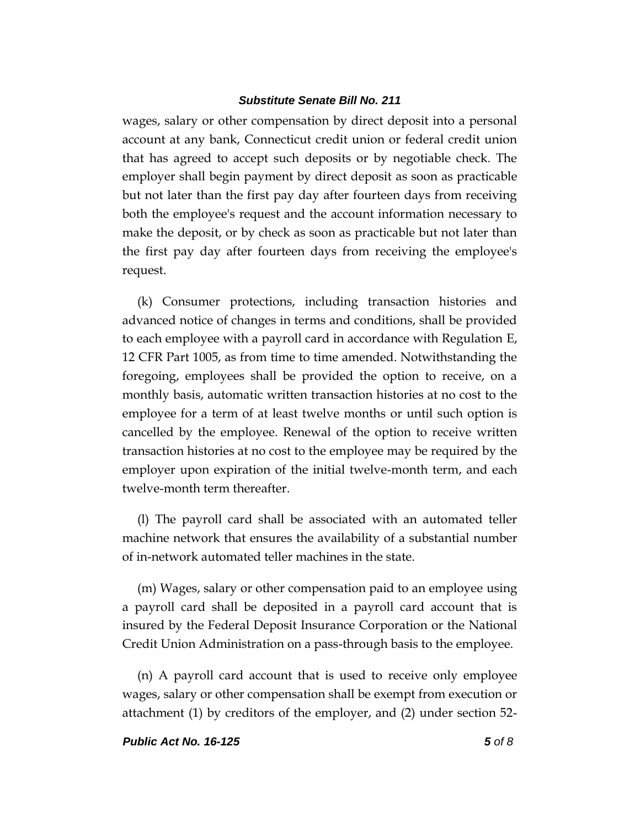wages, salary or other compensation by direct deposit into a personal account at any bank, Connecticut credit union or federal credit union that has agreed to accept such deposits or by negotiable check. The employer shall begin payment by direct deposit as soon as practicable but not later than the first pay day after fourteen days from receiving both the employee's request and the account information necessary to make the deposit, or by check as soon as practicable but not later than the first pay day after fourteen days from receiving the employee's request.

(k) Consumer protections, including transaction histories and advanced notice of changes in terms and conditions, shall be provided to each employee with a payroll card in accordance with Regulation E, 12 CFR Part 1005, as from time to time amended. Notwithstanding the foregoing, employees shall be provided the option to receive, on a monthly basis, automatic written transaction histories at no cost to the employee for a term of at least twelve months or until such option is cancelled by the employee. Renewal of the option to receive written transaction histories at no cost to the employee may be required by the employer upon expiration of the initial twelve-month term, and each twelve-month term thereafter.

(l) The payroll card shall be associated with an automated teller machine network that ensures the availability of a substantial number of in-network automated teller machines in the state.

(m) Wages, salary or other compensation paid to an employee using a payroll card shall be deposited in a payroll card account that is insured by the Federal Deposit Insurance Corporation or the National Credit Union Administration on a pass-through basis to the employee.

(n) A payroll card account that is used to receive only employee wages, salary or other compensation shall be exempt from execution or attachment (1) by creditors of the employer, and (2) under section 52-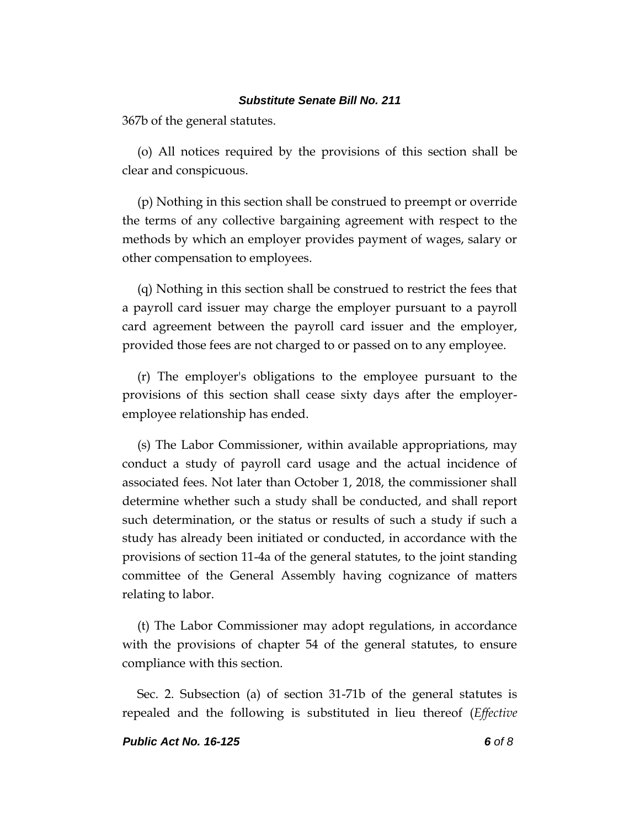367b of the general statutes.

(o) All notices required by the provisions of this section shall be clear and conspicuous.

(p) Nothing in this section shall be construed to preempt or override the terms of any collective bargaining agreement with respect to the methods by which an employer provides payment of wages, salary or other compensation to employees.

(q) Nothing in this section shall be construed to restrict the fees that a payroll card issuer may charge the employer pursuant to a payroll card agreement between the payroll card issuer and the employer, provided those fees are not charged to or passed on to any employee.

(r) The employer's obligations to the employee pursuant to the provisions of this section shall cease sixty days after the employeremployee relationship has ended.

(s) The Labor Commissioner, within available appropriations, may conduct a study of payroll card usage and the actual incidence of associated fees. Not later than October 1, 2018, the commissioner shall determine whether such a study shall be conducted, and shall report such determination, or the status or results of such a study if such a study has already been initiated or conducted, in accordance with the provisions of section 11-4a of the general statutes, to the joint standing committee of the General Assembly having cognizance of matters relating to labor.

(t) The Labor Commissioner may adopt regulations, in accordance with the provisions of chapter 54 of the general statutes, to ensure compliance with this section.

Sec. 2. Subsection (a) of section 31-71b of the general statutes is repealed and the following is substituted in lieu thereof (*Effective*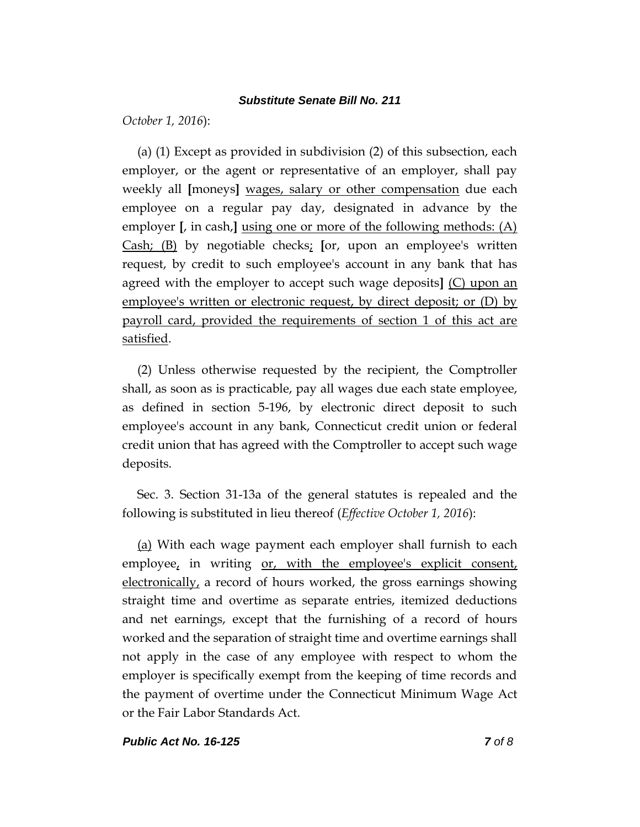*October 1, 2016*):

(a) (1) Except as provided in subdivision (2) of this subsection, each employer, or the agent or representative of an employer, shall pay weekly all **[**moneys**]** wages, salary or other compensation due each employee on a regular pay day, designated in advance by the employer **[**, in cash,**]** using one or more of the following methods: (A) Cash; (B) by negotiable checks; **[**or, upon an employee's written request, by credit to such employee's account in any bank that has agreed with the employer to accept such wage deposits**]** (C) upon an employee's written or electronic request, by direct deposit; or (D) by payroll card, provided the requirements of section 1 of this act are satisfied.

(2) Unless otherwise requested by the recipient, the Comptroller shall, as soon as is practicable, pay all wages due each state employee, as defined in section 5-196, by electronic direct deposit to such employee's account in any bank, Connecticut credit union or federal credit union that has agreed with the Comptroller to accept such wage deposits.

Sec. 3. Section 31-13a of the general statutes is repealed and the following is substituted in lieu thereof (*Effective October 1, 2016*):

(a) With each wage payment each employer shall furnish to each employee, in writing or, with the employee's explicit consent, electronically, a record of hours worked, the gross earnings showing straight time and overtime as separate entries, itemized deductions and net earnings, except that the furnishing of a record of hours worked and the separation of straight time and overtime earnings shall not apply in the case of any employee with respect to whom the employer is specifically exempt from the keeping of time records and the payment of overtime under the Connecticut Minimum Wage Act or the Fair Labor Standards Act.

#### *Public Act No. 16-125 7 of 8*